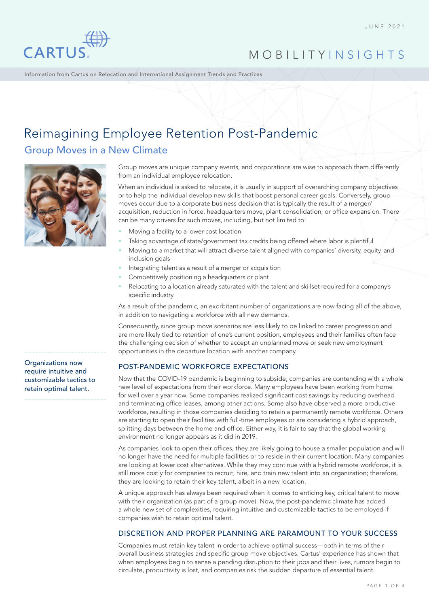

MOBILITY INSIGHTS

Information from Cartus on Relocation and International Assignment Trends and Practices

# Reimagining Employee Retention Post-Pandemic

Group Moves in a New Climate



Group moves are unique company events, and corporations are wise to approach them differently from an individual employee relocation.

When an individual is asked to relocate, it is usually in support of overarching company objectives or to help the individual develop new skills that boost personal career goals. Conversely, group moves occur due to a corporate business decision that is typically the result of a merger/ acquisition, reduction in force, headquarters move, plant consolidation, or office expansion. There can be many drivers for such moves, including, but not limited to:

- Moving a facility to a lower-cost location
- Taking advantage of state/government tax credits being offered where labor is plentiful
- Moving to a market that will attract diverse talent aligned with companies' diversity, equity, and inclusion goals
- Integrating talent as a result of a merger or acquisition
- Competitively positioning a headquarters or plant
- Relocating to a location already saturated with the talent and skillset required for a company's specific industry

As a result of the pandemic, an exorbitant number of organizations are now facing all of the above, in addition to navigating a workforce with all new demands.

Consequently, since group move scenarios are less likely to be linked to career progression and are more likely tied to retention of one's current position, employees and their families often face the challenging decision of whether to accept an unplanned move or seek new employment opportunities in the departure location with another company.

### POST-PANDEMIC WORKFORCE EXPECTATIONS

Now that the COVID-19 pandemic is beginning to subside, companies are contending with a whole new level of expectations from their workforce. Many employees have been working from home for well over a year now. Some companies realized significant cost savings by reducing overhead and terminating office leases, among other actions. Some also have observed a more productive workforce, resulting in those companies deciding to retain a permanently remote workforce. Others are starting to open their facilities with full-time employees or are considering a hybrid approach, splitting days between the home and office. Either way, it is fair to say that the global working environment no longer appears as it did in 2019.

As companies look to open their offices, they are likely going to house a smaller population and will no longer have the need for multiple facilities or to reside in their current location. Many companies are looking at lower cost alternatives. While they may continue with a hybrid remote workforce, it is still more costly for companies to recruit, hire, and train new talent into an organization; therefore, they are looking to retain their key talent, albeit in a new location.

A unique approach has always been required when it comes to enticing key, critical talent to move with their organization (as part of a group move). Now, the post-pandemic climate has added a whole new set of complexities, requiring intuitive and customizable tactics to be employed if companies wish to retain optimal talent.

## DISCRETION AND PROPER PLANNING ARE PARAMOUNT TO YOUR SUCCESS

Companies must retain key talent in order to achieve optimal success—both in terms of their overall business strategies and specific group move objectives. Cartus' experience has shown that when employees begin to sense a pending disruption to their jobs and their lives, rumors begin to circulate, productivity is lost, and companies risk the sudden departure of essential talent.

Organizations now require intuitive and customizable tactics to retain optimal talent.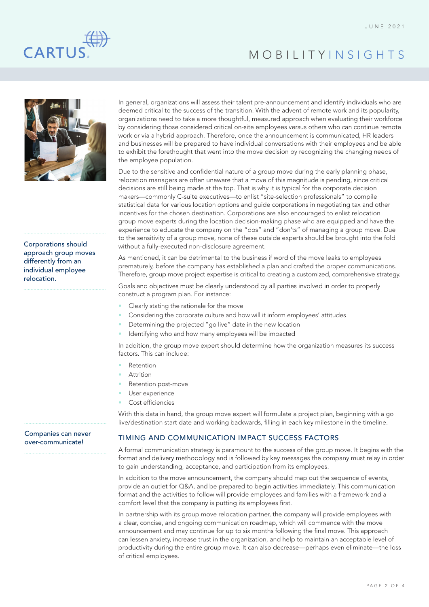

## MOBILITY INSIGHTS



Corporations should approach group moves differently from an individual employee relocation.

In general, organizations will assess their talent pre-announcement and identify individuals who are deemed critical to the success of the transition. With the advent of remote work and its popularity, organizations need to take a more thoughtful, measured approach when evaluating their workforce by considering those considered critical on-site employees versus others who can continue remote work or via a hybrid approach. Therefore, once the announcement is communicated, HR leaders and businesses will be prepared to have individual conversations with their employees and be able to exhibit the forethought that went into the move decision by recognizing the changing needs of the employee population.

Due to the sensitive and confidential nature of a group move during the early planning phase, relocation managers are often unaware that a move of this magnitude is pending, since critical decisions are still being made at the top. That is why it is typical for the corporate decision makers—commonly C-suite executives—to enlist "site-selection professionals" to compile statistical data for various location options and guide corporations in negotiating tax and other incentives for the chosen destination. Corporations are also encouraged to enlist relocation group move experts during the location decision-making phase who are equipped and have the experience to educate the company on the "dos" and "don'ts" of managing a group move. Due to the sensitivity of a group move, none of these outside experts should be brought into the fold without a fully-executed non-disclosure agreement.

As mentioned, it can be detrimental to the business if word of the move leaks to employees prematurely, before the company has established a plan and crafted the proper communications. Therefore, group move project expertise is critical to creating a customized, comprehensive strategy.

Goals and objectives must be clearly understood by all parties involved in order to properly construct a program plan. For instance:

- Clearly stating the rationale for the move
- Considering the corporate culture and how will it inform employees' attitudes
- Determining the projected "go live" date in the new location
- Identifying who and how many employees will be impacted

In addition, the group move expert should determine how the organization measures its success factors. This can include:

- Retention
- **Attrition**
- Retention post-move
- User experience
- Cost efficiencies

With this data in hand, the group move expert will formulate a project plan, beginning with a go live/destination start date and working backwards, filling in each key milestone in the timeline.

### TIMING AND COMMUNICATION IMPACT SUCCESS FACTORS

A formal communication strategy is paramount to the success of the group move. It begins with the format and delivery methodology and is followed by key messages the company must relay in order to gain understanding, acceptance, and participation from its employees.

In addition to the move announcement, the company should map out the sequence of events, provide an outlet for Q&A, and be prepared to begin activities immediately. This communication format and the activities to follow will provide employees and families with a framework and a comfort level that the company is putting its employees first.

In partnership with its group move relocation partner, the company will provide employees with a clear, concise, and ongoing communication roadmap, which will commence with the move announcement and may continue for up to six months following the final move. This approach can lessen anxiety, increase trust in the organization, and help to maintain an acceptable level of productivity during the entire group move. It can also decrease—perhaps even eliminate—the loss of critical employees.

Companies can never over-communicate!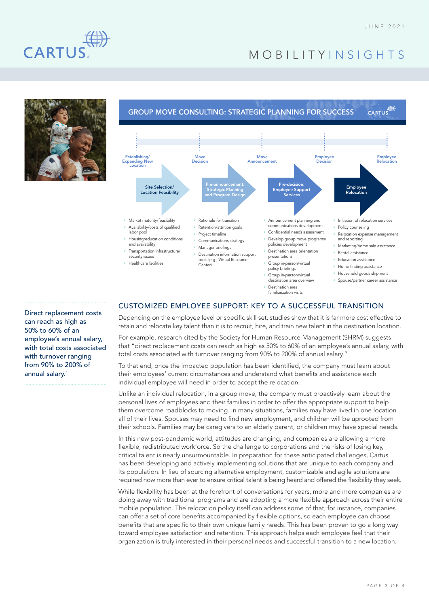((#)



## MOBILITY INSIGHTS



#### CARTUS GROUP MOVE CONSULTING: STRATEGIC PLANNING FOR SUCCESS



Direct replacement costs can reach as high as 50% to 60% of an employee's annual salary, with total costs associated with turnover ranging from 90% to 200% of annual salary.1

## CUSTOMIZED EMPLOYEE SUPPORT: KEY TO A SUCCESSFUL TRANSITION

Depending on the employee level or specific skill set, studies show that it is far more cost effective to retain and relocate key talent than it is to recruit, hire, and train new talent in the destination location.

For example, research cited by the Society for Human Resource Management (SHRM) suggests that "direct replacement costs can reach as high as 50% to 60% of an employee's annual salary, with total costs associated with turnover ranging from 90% to 200% of annual salary."

To that end, once the impacted population has been identified, the company must learn about their employees' current circumstances and understand what benefits and assistance each individual employee will need in order to accept the relocation.

Unlike an individual relocation, in a group move, the company must proactively learn about the personal lives of employees and their families in order to offer the appropriate support to help them overcome roadblocks to moving. In many situations, families may have lived in one location all of their lives. Spouses may need to find new employment, and children will be uprooted from their schools. Families may be caregivers to an elderly parent, or children may have special needs.

In this new post-pandemic world, attitudes are changing, and companies are allowing a more flexible, redistributed workforce. So the challenge to corporations and the risks of losing key, critical talent is nearly unsurmountable. In preparation for these anticipated challenges, Cartus has been developing and actively implementing solutions that are unique to each company and its population. In lieu of sourcing alternative employment, customizable and agile solutions are required now more than ever to ensure critical talent is being heard and offered the flexibility they seek.

While flexibility has been at the forefront of conversations for years, more and more companies are doing away with traditional programs and are adopting a more flexible approach across their entire mobile population. The relocation policy itself can address some of that; for instance, companies can offer a set of core benefits accompanied by flexible options, so each employee can choose benefits that are specific to their own unique family needs. This has been proven to go a long way toward employee satisfaction and retention. This approach helps each employee feel that their organization is truly interested in their personal needs and successful transition to a new location.